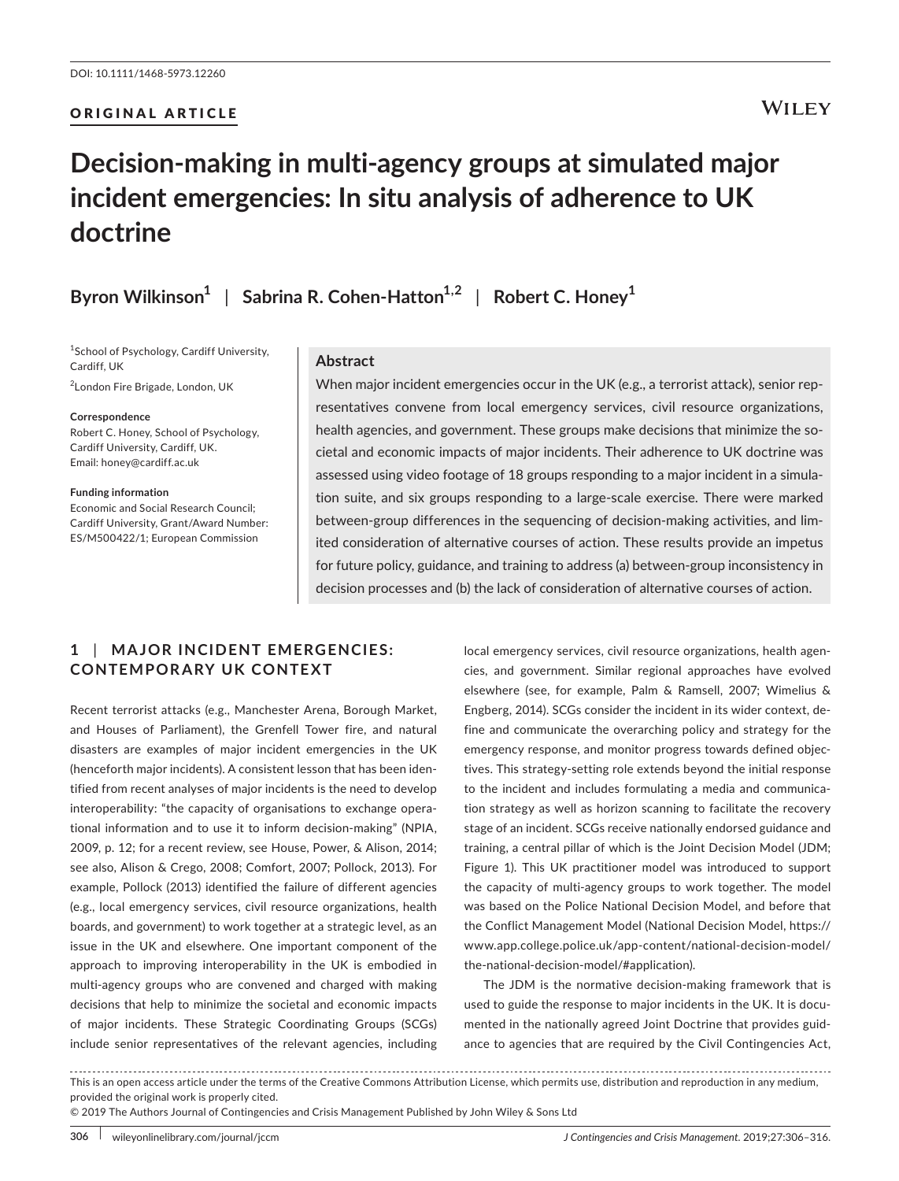## ORIGINAL ARTICLE

# **WILEY**

# **Decision‐making in multi‐agency groups at simulated major incident emergencies: In situ analysis of adherence to UK doctrine**

**Byron Wilkinson<sup>1</sup>** | **Sabrina R. Cohen‐Hatton1,2** | **Robert C. Honey<sup>1</sup>**

1 School of Psychology, Cardiff University, Cardiff, UK

<sup>2</sup> London Fire Brigade, London, UK

**Correspondence** Robert C. Honey, School of Psychology, Cardiff University, Cardiff, UK. Email: [honey@cardiff.ac.uk](mailto:honey@cardiff.ac.uk)

**Funding information** Economic and Social Research Council; Cardiff University, Grant/Award Number: ES/M500422/1; European Commission

#### **Abstract**

When major incident emergencies occur in the UK (e.g., a terrorist attack), senior representatives convene from local emergency services, civil resource organizations, health agencies, and government. These groups make decisions that minimize the societal and economic impacts of major incidents. Their adherence to UK doctrine was assessed using video footage of 18 groups responding to a major incident in a simula‐ tion suite, and six groups responding to a large‐scale exercise. There were marked between-group differences in the sequencing of decision-making activities, and limited consideration of alternative courses of action. These results provide an impetus for future policy, guidance, and training to address (a) between‐group inconsistency in decision processes and (b) the lack of consideration of alternative courses of action.

# **1** | **MA JOR INCIDENT EMERGENCIES: CONTEMPORARY UK CONTEXT**

Recent terrorist attacks (e.g., Manchester Arena, Borough Market, and Houses of Parliament), the Grenfell Tower fire, and natural disasters are examples of major incident emergencies in the UK (henceforth major incidents). A consistent lesson that has been iden‐ tified from recent analyses of major incidents is the need to develop interoperability: "the capacity of organisations to exchange opera‐ tional information and to use it to inform decision‐making" (NPIA, 2009, p. 12; for a recent review, see House, Power, & Alison, 2014; see also, Alison & Crego, 2008; Comfort, 2007; Pollock, 2013). For example, Pollock (2013) identified the failure of different agencies (e.g., local emergency services, civil resource organizations, health boards, and government) to work together at a strategic level, as an issue in the UK and elsewhere. One important component of the approach to improving interoperability in the UK is embodied in multi-agency groups who are convened and charged with making decisions that help to minimize the societal and economic impacts of major incidents. These Strategic Coordinating Groups (SCGs) include senior representatives of the relevant agencies, including local emergency services, civil resource organizations, health agen‐ cies, and government. Similar regional approaches have evolved elsewhere (see, for example, Palm & Ramsell, 2007; Wimelius & Engberg, 2014). SCGs consider the incident in its wider context, de‐ fine and communicate the overarching policy and strategy for the emergency response, and monitor progress towards defined objec‐ tives. This strategy‐setting role extends beyond the initial response to the incident and includes formulating a media and communication strategy as well as horizon scanning to facilitate the recovery stage of an incident. SCGs receive nationally endorsed guidance and training, a central pillar of which is the Joint Decision Model (JDM; Figure 1). This UK practitioner model was introduced to support the capacity of multi‐agency groups to work together. The model was based on the Police National Decision Model, and before that the Conflict Management Model (National Decision Model, [https://](https://www.app.college.police.uk/app-content/national-decision-model/the-national-decision-model/#application) [www.app.college.police.uk/app-content/national-decision-model/](https://www.app.college.police.uk/app-content/national-decision-model/the-national-decision-model/#application) [the-national-decision-model/#application\)](https://www.app.college.police.uk/app-content/national-decision-model/the-national-decision-model/#application).

The JDM is the normative decision‐making framework that is used to guide the response to major incidents in the UK. It is documented in the nationally agreed Joint Doctrine that provides guid‐ ance to agencies that are required by the Civil Contingencies Act,

This is an open access article under the terms of the [Creative Commons Attribution](http://creativecommons.org/licenses/by/4.0/) License, which permits use, distribution and reproduction in any medium, provided the original work is properly cited.

© 2019 The Authors Journal of Contingencies and Crisis Management Published by John Wiley & Sons Ltd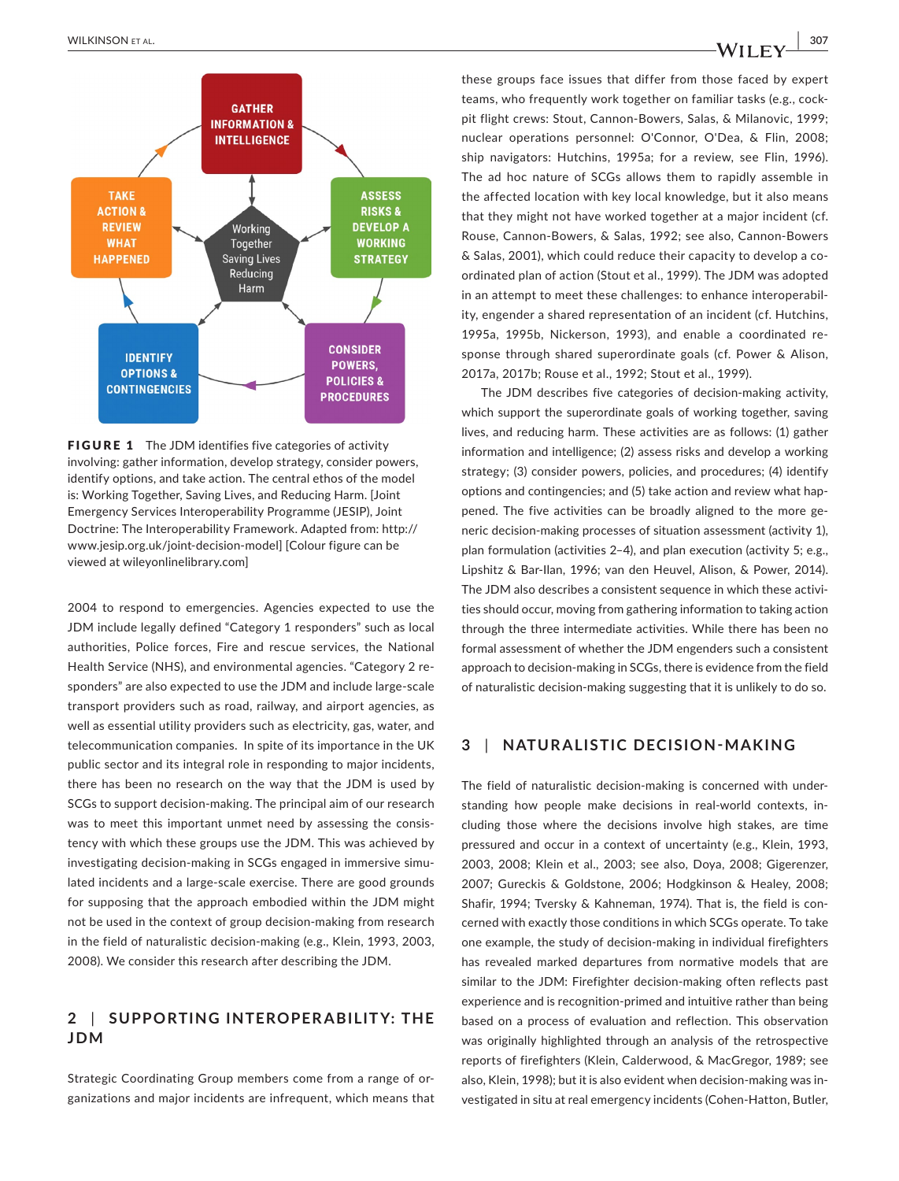

FIGURE 1 The JDM identifies five categories of activity involving: gather information, develop strategy, consider powers, identify options, and take action. The central ethos of the model is: Working Together, Saving Lives, and Reducing Harm. [Joint Emergency Services Interoperability Programme (JESIP), Joint Doctrine: The Interoperability Framework. Adapted from: [http://](http://www.jesip.org.uk/joint-decision-model) [www.jesip.org.uk/joint-decision-model\]](http://www.jesip.org.uk/joint-decision-model) [Colour figure can be viewed at wileyonlinelibrary.com]

2004 to respond to emergencies. Agencies expected to use the JDM include legally defined "Category 1 responders" such as local authorities, Police forces, Fire and rescue services, the National Health Service (NHS), and environmental agencies. "Category 2 re‐ sponders" are also expected to use the JDM and include large‐scale transport providers such as road, railway, and airport agencies, as well as essential utility providers such as electricity, gas, water, and telecommunication companies. In spite of its importance in the UK public sector and its integral role in responding to major incidents, there has been no research on the way that the JDM is used by SCGs to support decision‐making. The principal aim of our research was to meet this important unmet need by assessing the consistency with which these groups use the JDM. This was achieved by investigating decision-making in SCGs engaged in immersive simulated incidents and a large‐scale exercise. There are good grounds for supposing that the approach embodied within the JDM might not be used in the context of group decision‐making from research in the field of naturalistic decision-making (e.g., Klein, 1993, 2003, 2008). We consider this research after describing the JDM.

## **2** | **SUPPORTING INTEROPER ABILIT Y: THE JDM**

Strategic Coordinating Group members come from a range of or‐ ganizations and major incidents are infrequent, which means that

 **|** WILKINSON et al. **307**

these groups face issues that differ from those faced by expert teams, who frequently work together on familiar tasks (e.g., cock‐ pit flight crews: Stout, Cannon‐Bowers, Salas, & Milanovic, 1999; nuclear operations personnel: O'Connor, O'Dea, & Flin, 2008; ship navigators: Hutchins, 1995a; for a review, see Flin, 1996). The ad hoc nature of SCGs allows them to rapidly assemble in the affected location with key local knowledge, but it also means that they might not have worked together at a major incident (cf. Rouse, Cannon‐Bowers, & Salas, 1992; see also, Cannon‐Bowers & Salas, 2001), which could reduce their capacity to develop a co‐ ordinated plan of action (Stout et al., 1999). The JDM was adopted in an attempt to meet these challenges: to enhance interoperabil‐ ity, engender a shared representation of an incident (cf. Hutchins, 1995a, 1995b, Nickerson, 1993), and enable a coordinated re‐ sponse through shared superordinate goals (cf. Power & Alison, 2017a, 2017b; Rouse et al., 1992; Stout et al., 1999).

The JDM describes five categories of decision‐making activity, which support the superordinate goals of working together, saving lives, and reducing harm. These activities are as follows: (1) gather information and intelligence; (2) assess risks and develop a working strategy; (3) consider powers, policies, and procedures; (4) identify options and contingencies; and (5) take action and review what hap‐ pened. The five activities can be broadly aligned to the more ge‐ neric decision-making processes of situation assessment (activity 1), plan formulation (activities 2–4), and plan execution (activity 5; e.g., Lipshitz & Bar‐Ilan, 1996; van den Heuvel, Alison, & Power, 2014). The JDM also describes a consistent sequence in which these activi‐ ties should occur, moving from gathering information to taking action through the three intermediate activities. While there has been no formal assessment of whether the JDM engenders such a consistent approach to decision‐making in SCGs, there is evidence from the field of naturalistic decision‐making suggesting that it is unlikely to do so.

# **3** | **NATURALISTIC DECISION‐MAKING**

The field of naturalistic decision‐making is concerned with under‐ standing how people make decisions in real‐world contexts, in‐ cluding those where the decisions involve high stakes, are time pressured and occur in a context of uncertainty (e.g., Klein, 1993, 2003, 2008; Klein et al., 2003; see also, Doya, 2008; Gigerenzer, 2007; Gureckis & Goldstone, 2006; Hodgkinson & Healey, 2008; Shafir, 1994; Tversky & Kahneman, 1974). That is, the field is con‐ cerned with exactly those conditions in which SCGs operate. To take one example, the study of decision‐making in individual firefighters has revealed marked departures from normative models that are similar to the JDM: Firefighter decision‐making often reflects past experience and is recognition‐primed and intuitive rather than being based on a process of evaluation and reflection. This observation was originally highlighted through an analysis of the retrospective reports of firefighters (Klein, Calderwood, & MacGregor, 1989; see also, Klein, 1998); but it is also evident when decision‐making was in‐ vestigated in situ at real emergency incidents (Cohen‐Hatton, Butler,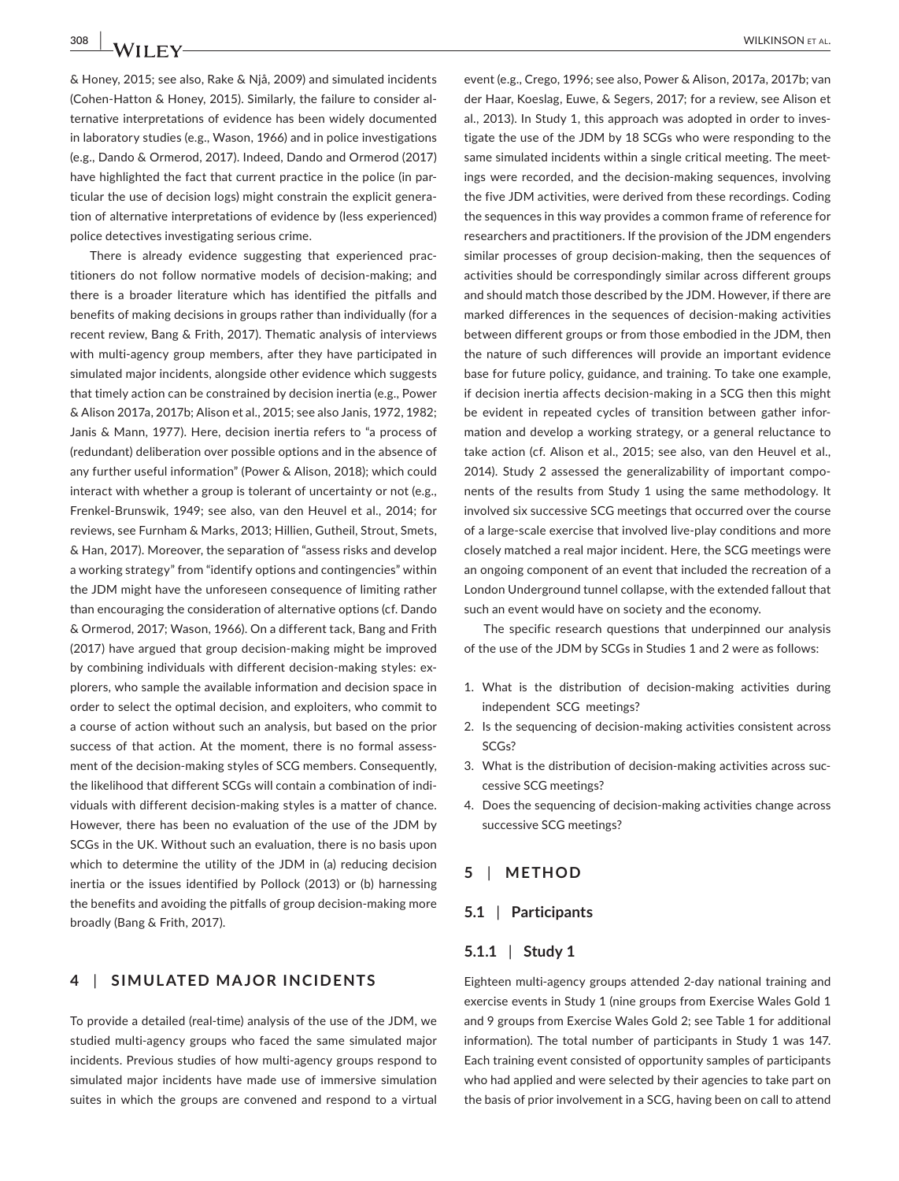& Honey, 2015; see also, Rake & Njå, 2009) and simulated incidents (Cohen‐Hatton & Honey, 2015). Similarly, the failure to consider al‐ ternative interpretations of evidence has been widely documented in laboratory studies (e.g., Wason, 1966) and in police investigations (e.g., Dando & Ormerod, 2017). Indeed, Dando and Ormerod (2017) have highlighted the fact that current practice in the police (in particular the use of decision logs) might constrain the explicit genera‐ tion of alternative interpretations of evidence by (less experienced) police detectives investigating serious crime.

There is already evidence suggesting that experienced prac‐ titioners do not follow normative models of decision‐making; and there is a broader literature which has identified the pitfalls and benefits of making decisions in groups rather than individually (for a recent review, Bang & Frith, 2017). Thematic analysis of interviews with multi-agency group members, after they have participated in simulated major incidents, alongside other evidence which suggests that timely action can be constrained by decision inertia (e.g., Power & Alison 2017a, 2017b; Alison et al., 2015; see also Janis, 1972, 1982; Janis & Mann, 1977). Here, decision inertia refers to "a process of (redundant) deliberation over possible options and in the absence of any further useful information" (Power & Alison, 2018); which could interact with whether a group is tolerant of uncertainty or not (e.g., Frenkel‐Brunswik, 1949; see also, van den Heuvel et al., 2014; for reviews, see Furnham & Marks, 2013; Hillien, Gutheil, Strout, Smets, & Han, 2017). Moreover, the separation of "assess risks and develop a working strategy" from "identify options and contingencies" within the JDM might have the unforeseen consequence of limiting rather than encouraging the consideration of alternative options (cf. Dando & Ormerod, 2017; Wason, 1966). On a different tack, Bang and Frith (2017) have argued that group decision‐making might be improved by combining individuals with different decision-making styles: explorers, who sample the available information and decision space in order to select the optimal decision, and exploiters, who commit to a course of action without such an analysis, but based on the prior success of that action. At the moment, there is no formal assessment of the decision-making styles of SCG members. Consequently, the likelihood that different SCGs will contain a combination of indi‐ viduals with different decision‐making styles is a matter of chance. However, there has been no evaluation of the use of the JDM by SCGs in the UK. Without such an evaluation, there is no basis upon which to determine the utility of the JDM in (a) reducing decision inertia or the issues identified by Pollock (2013) or (b) harnessing the benefits and avoiding the pitfalls of group decision‐making more broadly (Bang & Frith, 2017).

## **4** | **SIMULATED MAJOR INCIDENTS**

To provide a detailed (real‐time) analysis of the use of the JDM, we studied multi‐agency groups who faced the same simulated major incidents. Previous studies of how multi‐agency groups respond to simulated major incidents have made use of immersive simulation suites in which the groups are convened and respond to a virtual

event (e.g., Crego, 1996; see also, Power & Alison, 2017a, 2017b; van der Haar, Koeslag, Euwe, & Segers, 2017; for a review, see Alison et al., 2013). In Study 1, this approach was adopted in order to inves‐ tigate the use of the JDM by 18 SCGs who were responding to the same simulated incidents within a single critical meeting. The meetings were recorded, and the decision‐making sequences, involving the five JDM activities, were derived from these recordings. Coding the sequences in this way provides a common frame of reference for researchers and practitioners. If the provision of the JDM engenders similar processes of group decision‐making, then the sequences of activities should be correspondingly similar across different groups and should match those described by the JDM. However, if there are marked differences in the sequences of decision‐making activities between different groups or from those embodied in the JDM, then the nature of such differences will provide an important evidence base for future policy, guidance, and training. To take one example, if decision inertia affects decision‐making in a SCG then this might be evident in repeated cycles of transition between gather information and develop a working strategy, or a general reluctance to take action (cf. Alison et al., 2015; see also, van den Heuvel et al., 2014). Study 2 assessed the generalizability of important compo‐ nents of the results from Study 1 using the same methodology. It involved six successive SCG meetings that occurred over the course of a large‐scale exercise that involved live‐play conditions and more closely matched a real major incident. Here, the SCG meetings were an ongoing component of an event that included the recreation of a London Underground tunnel collapse, with the extended fallout that such an event would have on society and the economy.

The specific research questions that underpinned our analysis of the use of the JDM by SCGs in Studies 1 and 2 were as follows:

- 1. What is the distribution of decision‐making activities during independent SCG meetings?
- 2. Is the sequencing of decision‐making activities consistent across SCGs?
- 3. What is the distribution of decision-making activities across successive SCG meetings?
- 4. Does the sequencing of decision‐making activities change across successive SCG meetings?

## **5** | **METHOD**

#### **5.1** | **Participants**

## **5.1.1** | **Study 1**

Eighteen multi‐agency groups attended 2‐day national training and exercise events in Study 1 (nine groups from Exercise Wales Gold 1 and 9 groups from Exercise Wales Gold 2; see Table 1 for additional information). The total number of participants in Study 1 was 147. Each training event consisted of opportunity samples of participants who had applied and were selected by their agencies to take part on the basis of prior involvement in a SCG, having been on call to attend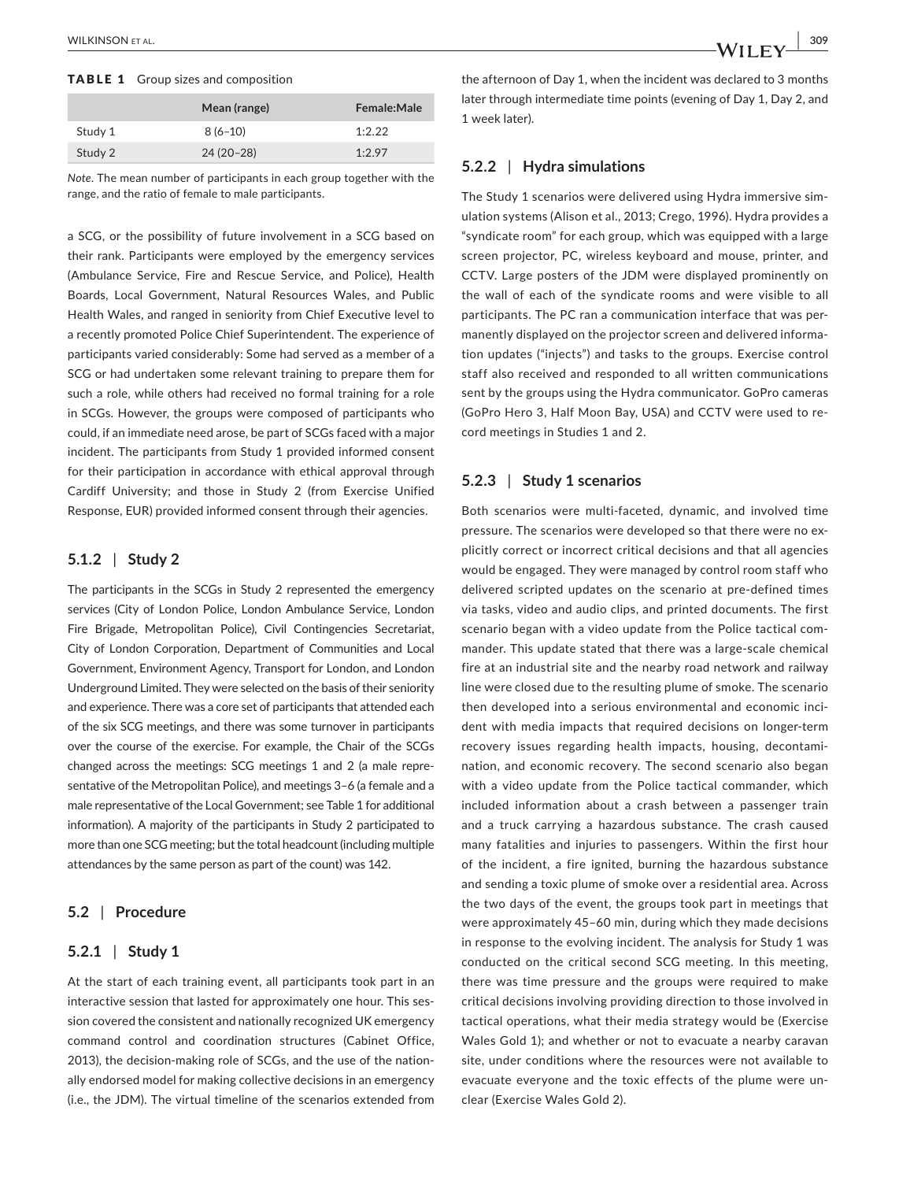#### TABLE 1 Group sizes and composition

|         | Mean (range) | Female:Male |
|---------|--------------|-------------|
| Study 1 | $8(6-10)$    | 1:2.22      |
| Study 2 | $24(20-28)$  | 1:2.97      |

*Note*. The mean number of participants in each group together with the range, and the ratio of female to male participants.

a SCG, or the possibility of future involvement in a SCG based on their rank. Participants were employed by the emergency services (Ambulance Service, Fire and Rescue Service, and Police), Health Boards, Local Government, Natural Resources Wales, and Public Health Wales, and ranged in seniority from Chief Executive level to a recently promoted Police Chief Superintendent. The experience of participants varied considerably: Some had served as a member of a SCG or had undertaken some relevant training to prepare them for such a role, while others had received no formal training for a role in SCGs. However, the groups were composed of participants who could, if an immediate need arose, be part of SCGs faced with a major incident. The participants from Study 1 provided informed consent for their participation in accordance with ethical approval through Cardiff University; and those in Study 2 (from Exercise Unified Response, EUR) provided informed consent through their agencies.

## **5.1.2** | **Study 2**

The participants in the SCGs in Study 2 represented the emergency services (City of London Police, London Ambulance Service, London Fire Brigade, Metropolitan Police), Civil Contingencies Secretariat, City of London Corporation, Department of Communities and Local Government, Environment Agency, Transport for London, and London Underground Limited. They were selected on the basis of their seniority and experience. There was a core set of participants that attended each of the six SCG meetings, and there was some turnover in participants over the course of the exercise. For example, the Chair of the SCGs changed across the meetings: SCG meetings 1 and 2 (a male repre‐ sentative of the Metropolitan Police), and meetings 3–6 (a female and a male representative of the Local Government; see Table 1 for additional information). A majority of the participants in Study 2 participated to more than one SCG meeting; but the total headcount (including multiple attendances by the same person as part of the count) was 142.

#### **5.2** | **Procedure**

#### **5.2.1** | **Study 1**

At the start of each training event, all participants took part in an interactive session that lasted for approximately one hour. This session covered the consistent and nationally recognized UK emergency command control and coordination structures (Cabinet Office, 2013), the decision-making role of SCGs, and the use of the nationally endorsed model for making collective decisions in an emergency (i.e., the JDM). The virtual timeline of the scenarios extended from

the afternoon of Day 1, when the incident was declared to 3 months later through intermediate time points (evening of Day 1, Day 2, and 1 week later).

## **5.2.2** | **Hydra simulations**

The Study 1 scenarios were delivered using Hydra immersive sim‐ ulation systems (Alison et al., 2013; Crego, 1996). Hydra provides a "syndicate room" for each group, which was equipped with a large screen projector, PC, wireless keyboard and mouse, printer, and CCTV. Large posters of the JDM were displayed prominently on the wall of each of the syndicate rooms and were visible to all participants. The PC ran a communication interface that was per‐ manently displayed on the projector screen and delivered informa‐ tion updates ("injects") and tasks to the groups. Exercise control staff also received and responded to all written communications sent by the groups using the Hydra communicator. GoPro cameras (GoPro Hero 3, Half Moon Bay, USA) and CCTV were used to re‐ cord meetings in Studies 1 and 2.

#### **5.2.3** | **Study 1 scenarios**

Both scenarios were multi-faceted, dynamic, and involved time pressure. The scenarios were developed so that there were no explicitly correct or incorrect critical decisions and that all agencies would be engaged. They were managed by control room staff who delivered scripted updates on the scenario at pre‐defined times via tasks, video and audio clips, and printed documents. The first scenario began with a video update from the Police tactical com‐ mander. This update stated that there was a large‐scale chemical fire at an industrial site and the nearby road network and railway line were closed due to the resulting plume of smoke. The scenario then developed into a serious environmental and economic inci‐ dent with media impacts that required decisions on longer-term recovery issues regarding health impacts, housing, decontami‐ nation, and economic recovery. The second scenario also began with a video update from the Police tactical commander, which included information about a crash between a passenger train and a truck carrying a hazardous substance. The crash caused many fatalities and injuries to passengers. Within the first hour of the incident, a fire ignited, burning the hazardous substance and sending a toxic plume of smoke over a residential area. Across the two days of the event, the groups took part in meetings that were approximately 45–60 min, during which they made decisions in response to the evolving incident. The analysis for Study 1 was conducted on the critical second SCG meeting. In this meeting, there was time pressure and the groups were required to make critical decisions involving providing direction to those involved in tactical operations, what their media strategy would be (Exercise Wales Gold 1); and whether or not to evacuate a nearby caravan site, under conditions where the resources were not available to evacuate everyone and the toxic effects of the plume were un‐ clear (Exercise Wales Gold 2).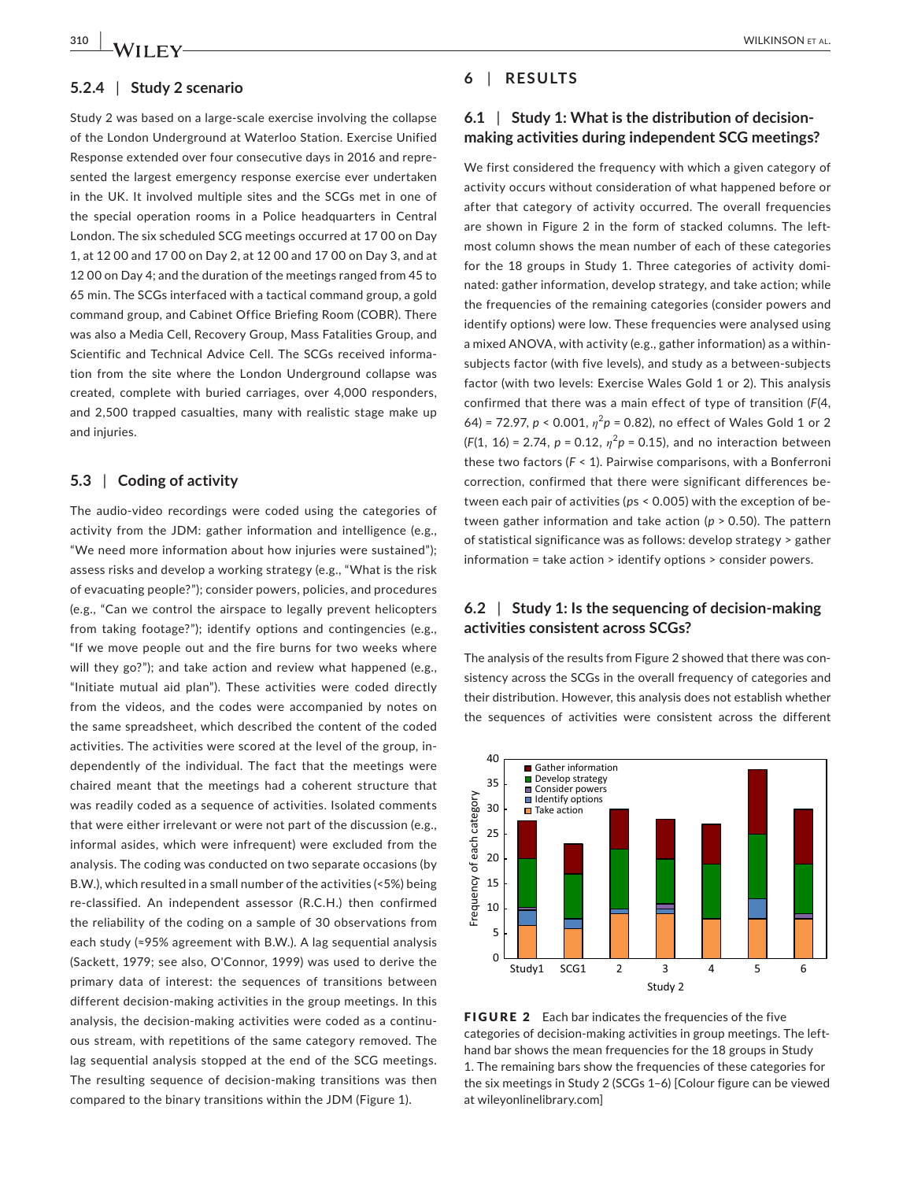### **5.2.4** | **Study 2 scenario**

Study 2 was based on a large‐scale exercise involving the collapse of the London Underground at Waterloo Station. Exercise Unified Response extended over four consecutive days in 2016 and repre‐ sented the largest emergency response exercise ever undertaken in the UK. It involved multiple sites and the SCGs met in one of the special operation rooms in a Police headquarters in Central London. The six scheduled SCG meetings occurred at 17 00 on Day 1, at 12 00 and 17 00 on Day 2, at 12 00 and 17 00 on Day 3, and at 12 00 on Day 4; and the duration of the meetings ranged from 45 to 65 min. The SCGs interfaced with a tactical command group, a gold command group, and Cabinet Office Briefing Room (COBR). There was also a Media Cell, Recovery Group, Mass Fatalities Group, and Scientific and Technical Advice Cell. The SCGs received informa‐ tion from the site where the London Underground collapse was created, complete with buried carriages, over 4,000 responders, and 2,500 trapped casualties, many with realistic stage make up and injuries.

#### **5.3** | **Coding of activity**

The audio‐video recordings were coded using the categories of activity from the JDM: gather information and intelligence (e.g., "We need more information about how injuries were sustained"); assess risks and develop a working strategy (e.g., "What is the risk of evacuating people?"); consider powers, policies, and procedures (e.g., "Can we control the airspace to legally prevent helicopters from taking footage?"); identify options and contingencies (e.g., "If we move people out and the fire burns for two weeks where will they go?"); and take action and review what happened (e.g., "Initiate mutual aid plan"). These activities were coded directly from the videos, and the codes were accompanied by notes on the same spreadsheet, which described the content of the coded activities. The activities were scored at the level of the group, in‐ dependently of the individual. The fact that the meetings were chaired meant that the meetings had a coherent structure that was readily coded as a sequence of activities. Isolated comments that were either irrelevant or were not part of the discussion (e.g., informal asides, which were infrequent) were excluded from the analysis. The coding was conducted on two separate occasions (by B.W.), which resulted in a small number of the activities (<5%) being re-classified. An independent assessor (R.C.H.) then confirmed the reliability of the coding on a sample of 30 observations from each study (≈95% agreement with B.W.). A lag sequential analysis (Sackett, 1979; see also, O'Connor, 1999) was used to derive the primary data of interest: the sequences of transitions between different decision‐making activities in the group meetings. In this analysis, the decision‐making activities were coded as a continu‐ ous stream, with repetitions of the same category removed. The lag sequential analysis stopped at the end of the SCG meetings. The resulting sequence of decision-making transitions was then compared to the binary transitions within the JDM (Figure 1).

### **6** | **RESULTS**

## **6.1** | **Study 1: What is the distribution of decision‐ making activities during independent SCG meetings?**

We first considered the frequency with which a given category of activity occurs without consideration of what happened before or after that category of activity occurred. The overall frequencies are shown in Figure 2 in the form of stacked columns. The leftmost column shows the mean number of each of these categories for the 18 groups in Study 1. Three categories of activity domi‐ nated: gather information, develop strategy, and take action; while the frequencies of the remaining categories (consider powers and identify options) were low. These frequencies were analysed using a mixed ANOVA, with activity (e.g., gather information) as a within‐ subjects factor (with five levels), and study as a between‐subjects factor (with two levels: Exercise Wales Gold 1 or 2). This analysis confirmed that there was a main effect of type of transition (*F*(4, 64) = 72.97,  $p < 0.001$ ,  $\eta^2 p = 0.82$ ), no effect of Wales Gold 1 or 2  $(F(1, 16) = 2.74, p = 0.12, \eta^2 p = 0.15)$ , and no interaction between these two factors  $(F < 1)$ . Pairwise comparisons, with a Bonferroni correction, confirmed that there were significant differences be‐ tween each pair of activities (*p*s < 0.005) with the exception of be‐ tween gather information and take action (*p* > 0.50). The pattern of statistical significance was as follows: develop strategy > gather information = take action > identify options > consider powers.

## **6.2** | **Study 1: Is the sequencing of decision‐making activities consistent across SCGs?**

The analysis of the results from Figure 2 showed that there was con‐ sistency across the SCGs in the overall frequency of categories and their distribution. However, this analysis does not establish whether the sequences of activities were consistent across the different



FIGURE 2 Each bar indicates the frequencies of the five categories of decision‐making activities in group meetings. The left‐ hand bar shows the mean frequencies for the 18 groups in Study 1. The remaining bars show the frequencies of these categories for the six meetings in Study 2 (SCGs 1–6) [Colour figure can be viewed at [wileyonlinelibrary.com\]](www.wileyonlinelibrary.com)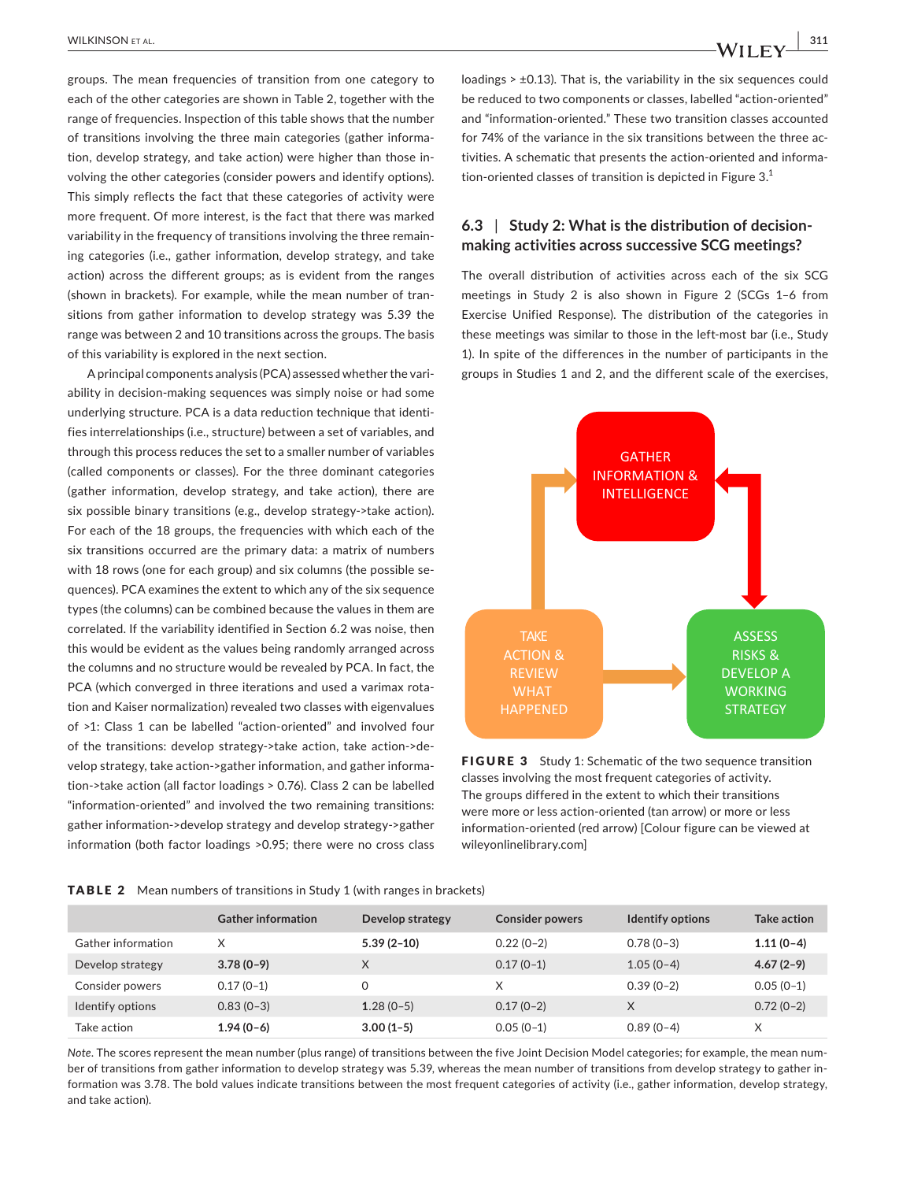groups. The mean frequencies of transition from one category to each of the other categories are shown in Table 2, together with the range of frequencies. Inspection of this table shows that the number of transitions involving the three main categories (gather informa‐ tion, develop strategy, and take action) were higher than those in‐ volving the other categories (consider powers and identify options). This simply reflects the fact that these categories of activity were more frequent. Of more interest, is the fact that there was marked variability in the frequency of transitions involving the three remain‐ ing categories (i.e., gather information, develop strategy, and take action) across the different groups; as is evident from the ranges (shown in brackets). For example, while the mean number of tran‐ sitions from gather information to develop strategy was 5.39 the range was between 2 and 10 transitions across the groups. The basis of this variability is explored in the next section.

A principal components analysis (PCA) assessed whether the vari‐ ability in decision‐making sequences was simply noise or had some underlying structure. PCA is a data reduction technique that identi‐ fies interrelationships (i.e., structure) between a set of variables, and through this process reduces the set to a smaller number of variables (called components or classes). For the three dominant categories (gather information, develop strategy, and take action), there are six possible binary transitions (e.g., develop strategy‐>take action). For each of the 18 groups, the frequencies with which each of the six transitions occurred are the primary data: a matrix of numbers with 18 rows (one for each group) and six columns (the possible sequences). PCA examines the extent to which any of the six sequence types (the columns) can be combined because the values in them are correlated. If the variability identified in Section 6.2 was noise, then this would be evident as the values being randomly arranged across the columns and no structure would be revealed by PCA. In fact, the PCA (which converged in three iterations and used a varimax rota‐ tion and Kaiser normalization) revealed two classes with eigenvalues of >1: Class 1 can be labelled "action‐oriented" and involved four of the transitions: develop strategy‐>take action, take action‐>de‐ velop strategy, take action‐>gather information, and gather informa‐ tion‐>take action (all factor loadings > 0.76). Class 2 can be labelled "information‐oriented" and involved the two remaining transitions: gather information‐>develop strategy and develop strategy‐>gather information (both factor loadings >0.95; there were no cross class loadings > ±0.13). That is, the variability in the six sequences could be reduced to two components or classes, labelled "action-oriented" and "information‐oriented." These two transition classes accounted for 74% of the variance in the six transitions between the three activities. A schematic that presents the action‐oriented and informa‐ tion-oriented classes of transition is depicted in Figure  $3<sup>1</sup>$ 

## **6.3** | **Study 2: What is the distribution of decision‐ making activities across successive SCG meetings?**

The overall distribution of activities across each of the six SCG meetings in Study 2 is also shown in Figure 2 (SCGs 1–6 from Exercise Unified Response). The distribution of the categories in these meetings was similar to those in the left-most bar (i.e., Study 1). In spite of the differences in the number of participants in the groups in Studies 1 and 2, and the different scale of the exercises,



FIGURE 3 Study 1: Schematic of the two sequence transition classes involving the most frequent categories of activity. The groups differed in the extent to which their transitions were more or less action-oriented (tan arrow) or more or less information‐oriented (red arrow) [Colour figure can be viewed at [wileyonlinelibrary.com\]](www.wileyonlinelibrary.com)

|  |  |  |  | <b>TABLE 2</b> Mean numbers of transitions in Study 1 (with ranges in brackets) |
|--|--|--|--|---------------------------------------------------------------------------------|
|--|--|--|--|---------------------------------------------------------------------------------|

|                    | <b>Gather information</b> | Develop strategy | <b>Consider powers</b> | <b>Identify options</b> | <b>Take action</b> |
|--------------------|---------------------------|------------------|------------------------|-------------------------|--------------------|
| Gather information | X                         | $5.39(2-10)$     | $0.22(0-2)$            | $0.78(0-3)$             | $1.11(0-4)$        |
| Develop strategy   | $3.78(0-9)$               | X                | $0.17(0-1)$            | $1.05(0-4)$             | $4.67(2-9)$        |
| Consider powers    | $0.17(0-1)$               | 0                | X                      | $0.39(0-2)$             | $0.05(0-1)$        |
| Identify options   | $0.83(0-3)$               | $1.28(0-5)$      | $0.17(0-2)$            | X                       | $0.72(0-2)$        |
| Take action        | $1.94(0-6)$               | $3.00(1-5)$      | $0.05(0-1)$            | $0.89(0-4)$             | X                  |

*Note*. The scores represent the mean number (plus range) of transitions between the five Joint Decision Model categories; for example, the mean number of transitions from gather information to develop strategy was 5.39, whereas the mean number of transitions from develop strategy to gather information was 3.78. The bold values indicate transitions between the most frequent categories of activity (i.e., gather information, develop strategy, and take action).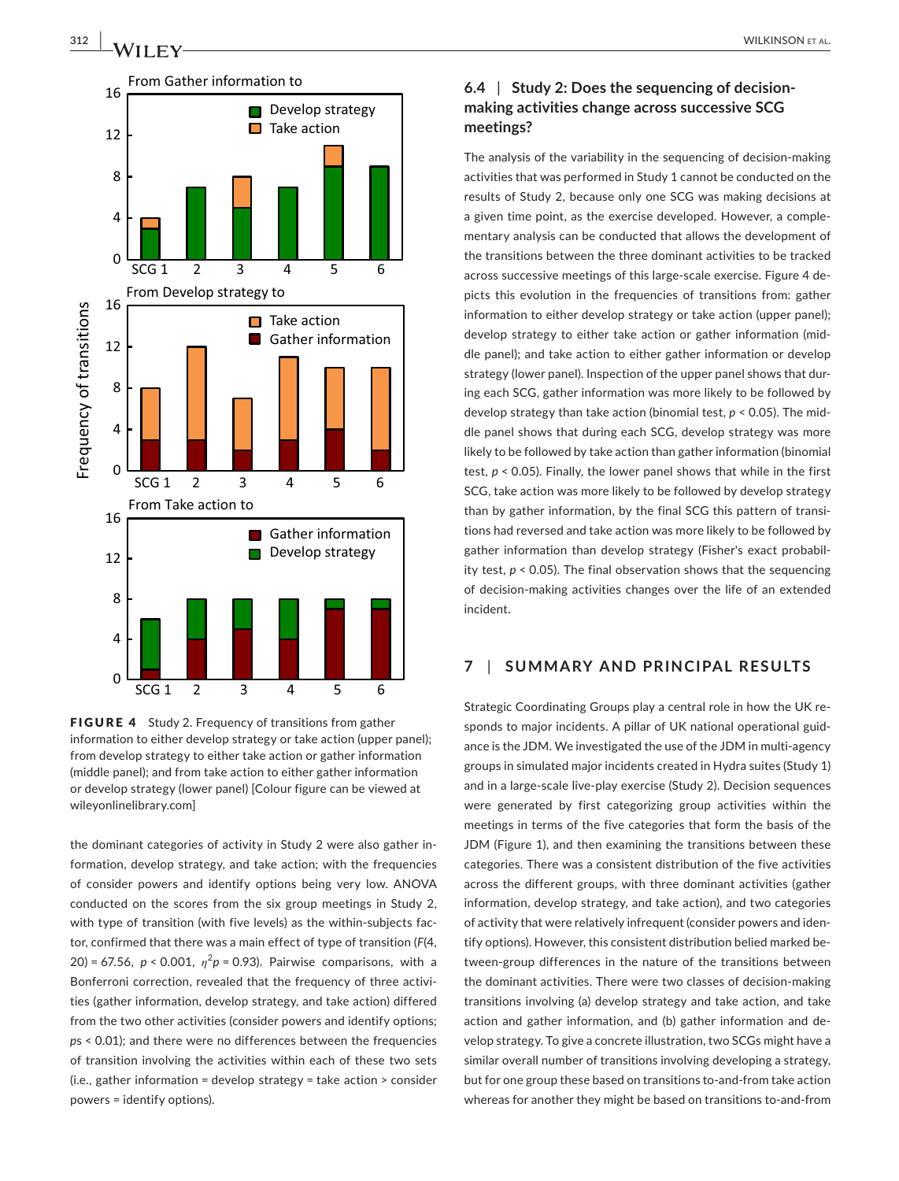

FIGURE 4 Study 2. Frequency of transitions from gather information to either develop strategy or take action (upper panel); from develop strategy to either take action or gather information (middle panel); and from take action to either gather information or develop strategy (lower panel) [Colour figure can be viewed at

the dominant categories of activity in Study 2 were also gather in‐ formation, develop strategy, and take action; with the frequencies of consider powers and identify options being very low. ANOVA conducted on the scores from the six group meetings in Study 2, with type of transition (with five levels) as the within-subjects factor, confirmed that there was a main effect of type of transition (*F*(4, 20) = 67.56,  $p < 0.001$ ,  $\eta^2 p = 0.93$ ). Pairwise comparisons, with a Bonferroni correction, revealed that the frequency of three activi‐ ties (gather information, develop strategy, and take action) differed from the two other activities (consider powers and identify options; *p*s < 0.01); and there were no differences between the frequencies of transition involving the activities within each of these two sets (i.e., gather information = develop strategy = take action > consider powers = identify options).

# **6.4** | **Study 2: Does the sequencing of decision‐ making activities change across successive SCG meetings?**

The analysis of the variability in the sequencing of decision‐making activities that was performed in Study 1 cannot be conducted on the results of Study 2, because only one SCG was making decisions at a given time point, as the exercise developed. However, a comple‐ mentary analysis can be conducted that allows the development of the transitions between the three dominant activities to be tracked across successive meetings of this large‐scale exercise. Figure 4 de‐ picts this evolution in the frequencies of transitions from: gather information to either develop strategy or take action (upper panel); develop strategy to either take action or gather information (mid‐ dle panel); and take action to either gather information or develop strategy (lower panel). Inspection of the upper panel shows that dur‐ ing each SCG, gather information was more likely to be followed by develop strategy than take action (binomial test, *p* < 0.05). The mid‐ dle panel shows that during each SCG, develop strategy was more likely to be followed by take action than gather information (binomial test, *p* < 0.05). Finally, the lower panel shows that while in the first SCG, take action was more likely to be followed by develop strategy than by gather information, by the final SCG this pattern of transi‐ tions had reversed and take action was more likely to be followed by gather information than develop strategy (Fisher's exact probabil‐ ity test, *p* < 0.05). The final observation shows that the sequencing of decision‐making activities changes over the life of an extended incident.

# **7** | **SUMMARY AND PRINCIPAL RESULTS**

Strategic Coordinating Groups play a central role in how the UK re‐ sponds to major incidents. A pillar of UK national operational guid‐ ance is the JDM. We investigated the use of the JDM in multi-agency groups in simulated major incidents created in Hydra suites (Study 1) and in a large‐scale live‐play exercise (Study 2). Decision sequences were generated by first categorizing group activities within the meetings in terms of the five categories that form the basis of the JDM (Figure 1), and then examining the transitions between these categories. There was a consistent distribution of the five activities across the different groups, with three dominant activities (gather information, develop strategy, and take action), and two categories of activity that were relatively infrequent (consider powers and iden‐ tify options). However, this consistent distribution belied marked be‐ tween‐group differences in the nature of the transitions between the dominant activities. There were two classes of decision‐making transitions involving (a) develop strategy and take action, and take action and gather information, and (b) gather information and de‐ velop strategy. To give a concrete illustration, two SCGs might have a similar overall number of transitions involving developing a strategy, but for one group these based on transitions to‐and‐from take action whereas for another they might be based on transitions to-and-from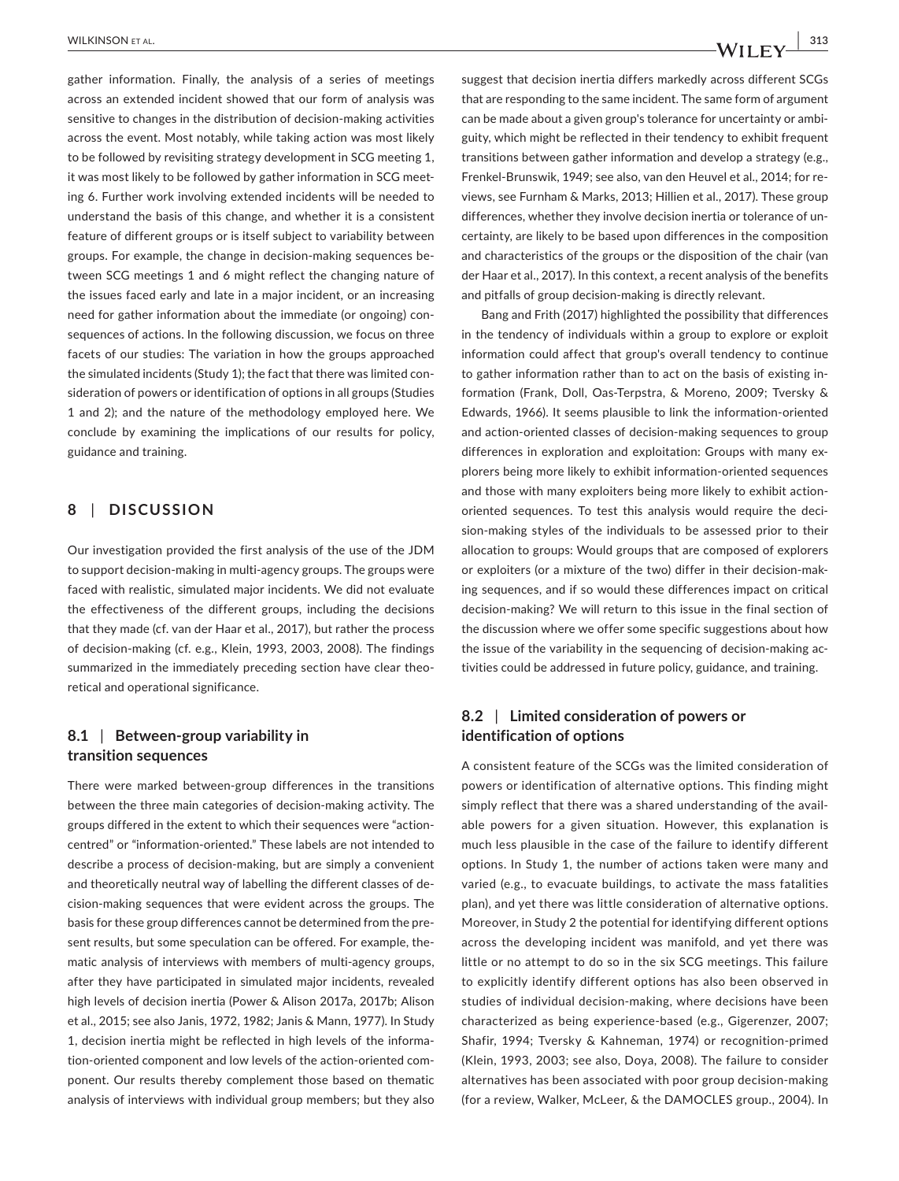gather information. Finally, the analysis of a series of meetings across an extended incident showed that our form of analysis was sensitive to changes in the distribution of decision‐making activities across the event. Most notably, while taking action was most likely to be followed by revisiting strategy development in SCG meeting 1, it was most likely to be followed by gather information in SCG meeting 6. Further work involving extended incidents will be needed to understand the basis of this change, and whether it is a consistent feature of different groups or is itself subject to variability between groups. For example, the change in decision‐making sequences be‐ tween SCG meetings 1 and 6 might reflect the changing nature of the issues faced early and late in a major incident, or an increasing need for gather information about the immediate (or ongoing) con‐ sequences of actions. In the following discussion, we focus on three facets of our studies: The variation in how the groups approached the simulated incidents (Study 1); the fact that there was limited con‐ sideration of powers or identification of options in all groups (Studies 1 and 2); and the nature of the methodology employed here. We conclude by examining the implications of our results for policy, guidance and training.

### **8** | **DISCUSSION**

Our investigation provided the first analysis of the use of the JDM to support decision‐making in multi‐agency groups. The groups were faced with realistic, simulated major incidents. We did not evaluate the effectiveness of the different groups, including the decisions that they made (cf. van der Haar et al., 2017), but rather the process of decision-making (cf. e.g., Klein, 1993, 2003, 2008). The findings summarized in the immediately preceding section have clear theoretical and operational significance.

## **8.1** | **Between‐group variability in transition sequences**

There were marked between‐group differences in the transitions between the three main categories of decision‐making activity. The groups differed in the extent to which their sequences were "action‐ centred" or "information‐oriented." These labels are not intended to describe a process of decision‐making, but are simply a convenient and theoretically neutral way of labelling the different classes of de‐ cision‐making sequences that were evident across the groups. The basis for these group differences cannot be determined from the pre‐ sent results, but some speculation can be offered. For example, the‐ matic analysis of interviews with members of multi-agency groups, after they have participated in simulated major incidents, revealed high levels of decision inertia (Power & Alison 2017a, 2017b; Alison et al., 2015; see also Janis, 1972, 1982; Janis & Mann, 1977). In Study 1, decision inertia might be reflected in high levels of the informa‐ tion-oriented component and low levels of the action-oriented component. Our results thereby complement those based on thematic analysis of interviews with individual group members; but they also suggest that decision inertia differs markedly across different SCGs that are responding to the same incident. The same form of argument can be made about a given group's tolerance for uncertainty or ambi‐ guity, which might be reflected in their tendency to exhibit frequent transitions between gather information and develop a strategy (e.g., Frenkel‐Brunswik, 1949; see also, van den Heuvel et al., 2014; for re‐ views, see Furnham & Marks, 2013; Hillien et al., 2017). These group differences, whether they involve decision inertia or tolerance of un‐ certainty, are likely to be based upon differences in the composition and characteristics of the groups or the disposition of the chair (van der Haar et al., 2017). In this context, a recent analysis of the benefits and pitfalls of group decision‐making is directly relevant.

Bang and Frith (2017) highlighted the possibility that differences in the tendency of individuals within a group to explore or exploit information could affect that group's overall tendency to continue to gather information rather than to act on the basis of existing in‐ formation (Frank, Doll, Oas‐Terpstra, & Moreno, 2009; Tversky & Edwards, 1966). It seems plausible to link the information‐oriented and action‐oriented classes of decision‐making sequences to group differences in exploration and exploitation: Groups with many ex‐ plorers being more likely to exhibit information‐oriented sequences and those with many exploiters being more likely to exhibit action‐ oriented sequences. To test this analysis would require the deci‐ sion-making styles of the individuals to be assessed prior to their allocation to groups: Would groups that are composed of explorers or exploiters (or a mixture of the two) differ in their decision‐mak‐ ing sequences, and if so would these differences impact on critical decision‐making? We will return to this issue in the final section of the discussion where we offer some specific suggestions about how the issue of the variability in the sequencing of decision-making activities could be addressed in future policy, guidance, and training.

## **8.2** | **Limited consideration of powers or identification of options**

A consistent feature of the SCGs was the limited consideration of powers or identification of alternative options. This finding might simply reflect that there was a shared understanding of the avail‐ able powers for a given situation. However, this explanation is much less plausible in the case of the failure to identify different options. In Study 1, the number of actions taken were many and varied (e.g., to evacuate buildings, to activate the mass fatalities plan), and yet there was little consideration of alternative options. Moreover, in Study 2 the potential for identifying different options across the developing incident was manifold, and yet there was little or no attempt to do so in the six SCG meetings. This failure to explicitly identify different options has also been observed in studies of individual decision‐making, where decisions have been characterized as being experience‐based (e.g., Gigerenzer, 2007; Shafir, 1994; Tversky & Kahneman, 1974) or recognition‐primed (Klein, 1993, 2003; see also, Doya, 2008). The failure to consider alternatives has been associated with poor group decision‐making (for a review, Walker, McLeer, & the DAMOCLES group., 2004). In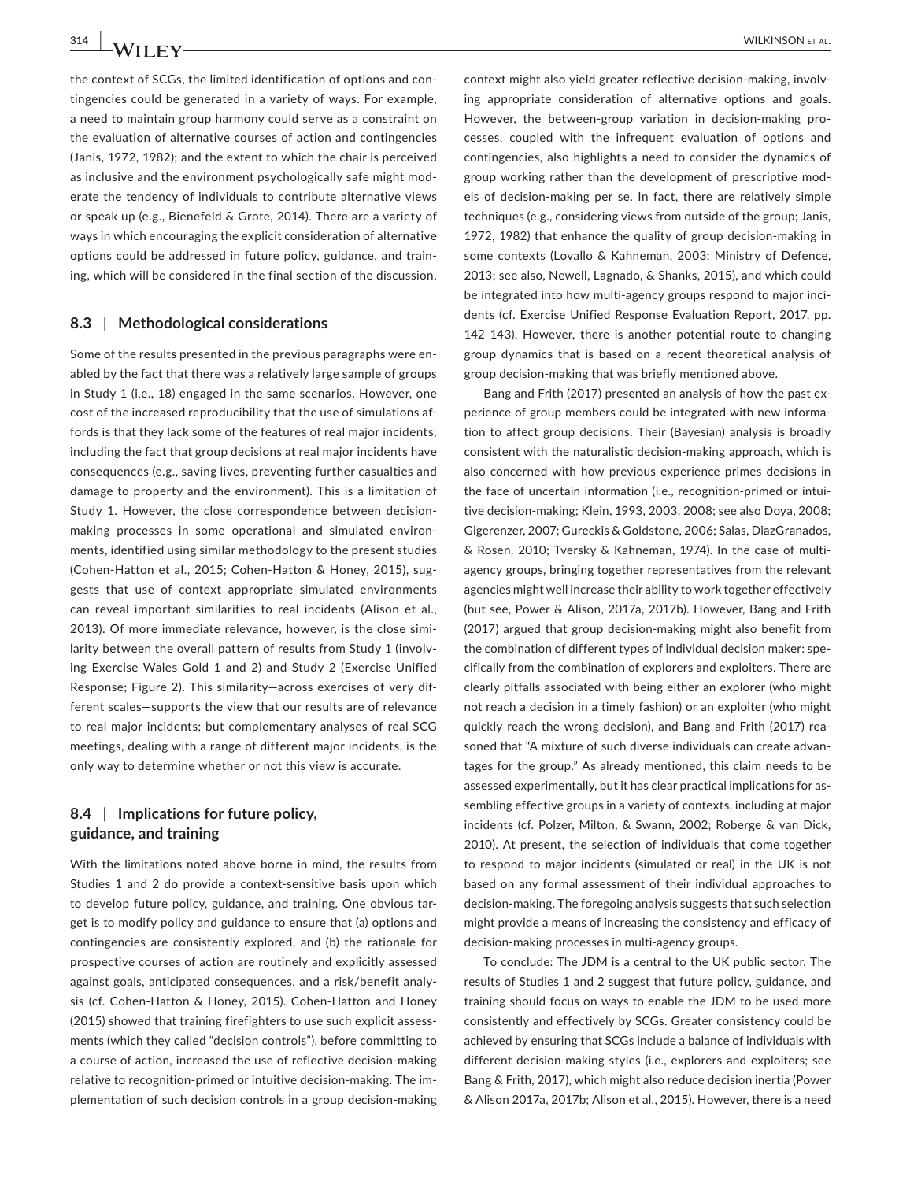the context of SCGs, the limited identification of options and con‐ tingencies could be generated in a variety of ways. For example, a need to maintain group harmony could serve as a constraint on the evaluation of alternative courses of action and contingencies (Janis, 1972, 1982); and the extent to which the chair is perceived as inclusive and the environment psychologically safe might mod‐ erate the tendency of individuals to contribute alternative views or speak up (e.g., Bienefeld & Grote, 2014). There are a variety of ways in which encouraging the explicit consideration of alternative options could be addressed in future policy, guidance, and train‐ ing, which will be considered in the final section of the discussion.

#### **8.3** | **Methodological considerations**

Some of the results presented in the previous paragraphs were en‐ abled by the fact that there was a relatively large sample of groups in Study 1 (i.e., 18) engaged in the same scenarios. However, one cost of the increased reproducibility that the use of simulations af‐ fords is that they lack some of the features of real major incidents; including the fact that group decisions at real major incidents have consequences (e.g., saving lives, preventing further casualties and damage to property and the environment). This is a limitation of Study 1. However, the close correspondence between decision‐ making processes in some operational and simulated environ‐ ments, identified using similar methodology to the present studies (Cohen‐Hatton et al., 2015; Cohen‐Hatton & Honey, 2015), sug‐ gests that use of context appropriate simulated environments can reveal important similarities to real incidents (Alison et al., 2013). Of more immediate relevance, however, is the close simi‐ larity between the overall pattern of results from Study 1 (involv‐ ing Exercise Wales Gold 1 and 2) and Study 2 (Exercise Unified Response; Figure 2). This similarity—across exercises of very dif‐ ferent scales—supports the view that our results are of relevance to real major incidents; but complementary analyses of real SCG meetings, dealing with a range of different major incidents, is the only way to determine whether or not this view is accurate.

# **8.4** | **Implications for future policy, guidance, and training**

With the limitations noted above borne in mind, the results from Studies 1 and 2 do provide a context-sensitive basis upon which to develop future policy, guidance, and training. One obvious tar‐ get is to modify policy and guidance to ensure that (a) options and contingencies are consistently explored, and (b) the rationale for prospective courses of action are routinely and explicitly assessed against goals, anticipated consequences, and a risk/benefit analy‐ sis (cf. Cohen-Hatton & Honey, 2015). Cohen-Hatton and Honey (2015) showed that training firefighters to use such explicit assess‐ ments (which they called "decision controls"), before committing to a course of action, increased the use of reflective decision‐making relative to recognition‐primed or intuitive decision‐making. The im‐ plementation of such decision controls in a group decision‐making

context might also yield greater reflective decision-making, involving appropriate consideration of alternative options and goals. However, the between-group variation in decision-making processes, coupled with the infrequent evaluation of options and contingencies, also highlights a need to consider the dynamics of group working rather than the development of prescriptive mod‐ els of decision‐making per se. In fact, there are relatively simple techniques (e.g., considering views from outside of the group; Janis, 1972, 1982) that enhance the quality of group decision‐making in some contexts (Lovallo & Kahneman, 2003; Ministry of Defence, 2013; see also, Newell, Lagnado, & Shanks, 2015), and which could be integrated into how multi-agency groups respond to major incidents (cf. Exercise Unified Response Evaluation Report, 2017, pp. 142–143). However, there is another potential route to changing group dynamics that is based on a recent theoretical analysis of group decision‐making that was briefly mentioned above.

Bang and Frith (2017) presented an analysis of how the past ex‐ perience of group members could be integrated with new informa‐ tion to affect group decisions. Their (Bayesian) analysis is broadly consistent with the naturalistic decision‐making approach, which is also concerned with how previous experience primes decisions in the face of uncertain information (i.e., recognition‐primed or intui‐ tive decision‐making; Klein, 1993, 2003, 2008; see also Doya, 2008; Gigerenzer, 2007; Gureckis & Goldstone, 2006; Salas, DiazGranados, & Rosen, 2010; Tversky & Kahneman, 1974). In the case of multi‐ agency groups, bringing together representatives from the relevant agencies might well increase their ability to work together effectively (but see, Power & Alison, 2017a, 2017b). However, Bang and Frith (2017) argued that group decision‐making might also benefit from the combination of different types of individual decision maker: spe‐ cifically from the combination of explorers and exploiters. There are clearly pitfalls associated with being either an explorer (who might not reach a decision in a timely fashion) or an exploiter (who might quickly reach the wrong decision), and Bang and Frith (2017) rea‐ soned that "A mixture of such diverse individuals can create advan‐ tages for the group." As already mentioned, this claim needs to be assessed experimentally, but it has clear practical implications for as‐ sembling effective groups in a variety of contexts, including at major incidents (cf. Polzer, Milton, & Swann, 2002; Roberge & van Dick, 2010). At present, the selection of individuals that come together to respond to major incidents (simulated or real) in the UK is not based on any formal assessment of their individual approaches to decision‐making. The foregoing analysis suggests that such selection might provide a means of increasing the consistency and efficacy of decision‐making processes in multi‐agency groups.

To conclude: The JDM is a central to the UK public sector. The results of Studies 1 and 2 suggest that future policy, guidance, and training should focus on ways to enable the JDM to be used more consistently and effectively by SCGs. Greater consistency could be achieved by ensuring that SCGs include a balance of individuals with different decision‐making styles (i.e., explorers and exploiters; see Bang & Frith, 2017), which might also reduce decision inertia (Power & Alison 2017a, 2017b; Alison et al., 2015). However, there is a need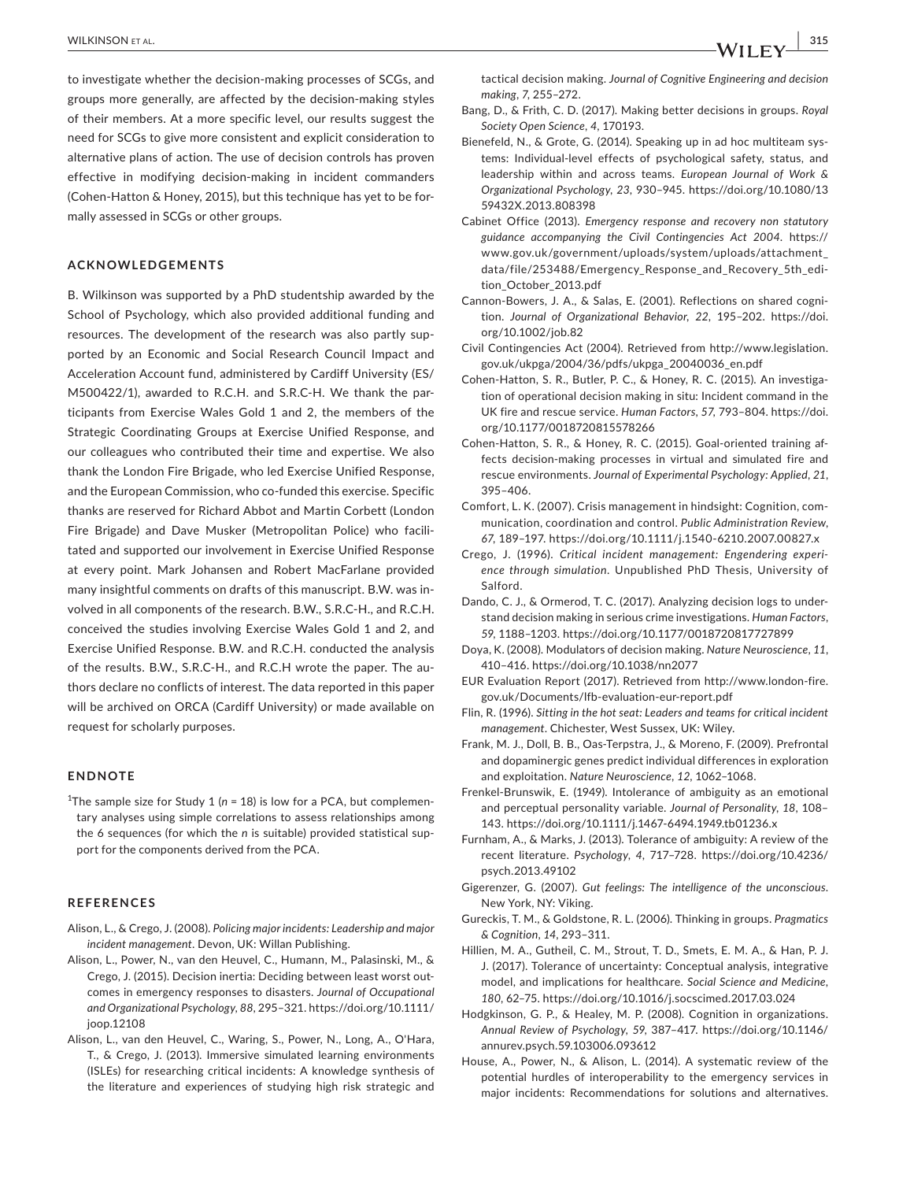to investigate whether the decision‐making processes of SCGs, and groups more generally, are affected by the decision‐making styles of their members. At a more specific level, our results suggest the need for SCGs to give more consistent and explicit consideration to alternative plans of action. The use of decision controls has proven effective in modifying decision-making in incident commanders (Cohen‐Hatton & Honey, 2015), but this technique has yet to be for‐ mally assessed in SCGs or other groups.

#### **ACKNOWLEDGEMENTS**

B. Wilkinson was supported by a PhD studentship awarded by the School of Psychology, which also provided additional funding and resources. The development of the research was also partly sup‐ ported by an Economic and Social Research Council Impact and Acceleration Account fund, administered by Cardiff University (ES/ M500422/1), awarded to R.C.H. and S.R.C‐H. We thank the par‐ ticipants from Exercise Wales Gold 1 and 2, the members of the Strategic Coordinating Groups at Exercise Unified Response, and our colleagues who contributed their time and expertise. We also thank the London Fire Brigade, who led Exercise Unified Response, and the European Commission, who co-funded this exercise. Specific thanks are reserved for Richard Abbot and Martin Corbett (London Fire Brigade) and Dave Musker (Metropolitan Police) who facili‐ tated and supported our involvement in Exercise Unified Response at every point. Mark Johansen and Robert MacFarlane provided many insightful comments on drafts of this manuscript. B.W. was in‐ volved in all components of the research. B.W., S.R.C‐H., and R.C.H. conceived the studies involving Exercise Wales Gold 1 and 2, and Exercise Unified Response. B.W. and R.C.H. conducted the analysis of the results. B.W., S.R.C‐H., and R.C.H wrote the paper. The au‐ thors declare no conflicts of interest. The data reported in this paper will be archived on ORCA (Cardiff University) or made available on request for scholarly purposes.

#### **ENDNOTE**

<sup>1</sup>The sample size for Study 1 (n = 18) is low for a PCA, but complementary analyses using simple correlations to assess relationships among the 6 sequences (for which the *n* is suitable) provided statistical sup‐ port for the components derived from the PCA.

### **REFERENCES**

- Alison, L., & Crego, J. (2008). *Policing major incidents: Leadership and major incident management*. Devon, UK: Willan Publishing.
- Alison, L., Power, N., van den Heuvel, C., Humann, M., Palasinski, M., & Crego, J. (2015). Decision inertia: Deciding between least worst out‐ comes in emergency responses to disasters. *Journal of Occupational and Organizational Psychology*, *88*, 295–321. [https://doi.org/10.1111/](https://doi.org/10.1111/joop.12108) [joop.12108](https://doi.org/10.1111/joop.12108)
- Alison, L., van den Heuvel, C., Waring, S., Power, N., Long, A., O'Hara, T., & Crego, J. (2013). Immersive simulated learning environments (ISLEs) for researching critical incidents: A knowledge synthesis of the literature and experiences of studying high risk strategic and
- Bang, D., & Frith, C. D. (2017). Making better decisions in groups. *Royal Society Open Science*, *4*, 170193.
- Bienefeld, N., & Grote, G. (2014). Speaking up in ad hoc multiteam systems: Individual‐level effects of psychological safety, status, and leadership within and across teams. *European Journal of Work & Organizational Psychology*, *23*, 930–945. [https://doi.org/10.1080/13](https://doi.org/10.1080/1359432X.2013.808398) [59432X.2013.808398](https://doi.org/10.1080/1359432X.2013.808398)
- Cabinet Office (2013). *Emergency response and recovery non statutory guidance accompanying the Civil Contingencies Act 2004*. [https://](https://www.gov.uk/government/uploads/system/uploads/attachment_data/file/253488/Emergency_Response_and_Recovery_5th_edition_October_2013.pdf) [www.gov.uk/government/uploads/system/uploads/attachment\\_](https://www.gov.uk/government/uploads/system/uploads/attachment_data/file/253488/Emergency_Response_and_Recovery_5th_edition_October_2013.pdf) [data/file/253488/Emergency\\_Response\\_and\\_Recovery\\_5th\\_edi‐](https://www.gov.uk/government/uploads/system/uploads/attachment_data/file/253488/Emergency_Response_and_Recovery_5th_edition_October_2013.pdf) [tion\\_October\\_2013.pdf](https://www.gov.uk/government/uploads/system/uploads/attachment_data/file/253488/Emergency_Response_and_Recovery_5th_edition_October_2013.pdf)
- Cannon‐Bowers, J. A., & Salas, E. (2001). Reflections on shared cogni‐ tion. *Journal of Organizational Behavior*, *22*, 195–202. [https://doi.](https://doi.org/10.1002/job.82) [org/10.1002/job.82](https://doi.org/10.1002/job.82)
- Civil Contingencies Act (2004). Retrieved from [http://www.legislation.](http://www.legislation.gov.uk/ukpga/2004/36/pdfs/ukpga_20040036_en.pdf) [gov.uk/ukpga/2004/36/pdfs/ukpga\\_20040036\\_en.pdf](http://www.legislation.gov.uk/ukpga/2004/36/pdfs/ukpga_20040036_en.pdf)
- Cohen‐Hatton, S. R., Butler, P. C., & Honey, R. C. (2015). An investiga‐ tion of operational decision making in situ: Incident command in the UK fire and rescue service. *Human Factors*, *57*, 793–804. [https://doi.](https://doi.org/10.1177/0018720815578266) [org/10.1177/0018720815578266](https://doi.org/10.1177/0018720815578266)
- Cohen‐Hatton, S. R., & Honey, R. C. (2015). Goal‐oriented training af‐ fects decision‐making processes in virtual and simulated fire and rescue environments. *Journal of Experimental Psychology: Applied*, *21*, 395–406.
- Comfort, L. K. (2007). Crisis management in hindsight: Cognition, com‐ munication, coordination and control. *Public Administration Review*, *67*, 189–197. <https://doi.org/10.1111/j.1540-6210.2007.00827.x>
- Crego, J. (1996). *Critical incident management: Engendering experi‐ ence through simulation*. Unpublished PhD Thesis, University of Salford.
- Dando, C. J., & Ormerod, T. C. (2017). Analyzing decision logs to under‐ stand decision making in serious crime investigations. *Human Factors*, *59*, 1188–1203. <https://doi.org/10.1177/0018720817727899>
- Doya, K. (2008). Modulators of decision making. *Nature Neuroscience*, *11*, 410–416. <https://doi.org/10.1038/nn2077>
- EUR Evaluation Report (2017). Retrieved from [http://www.london-fire.](http://www.london-fire.gov.uk/Documents/lfb-evaluation-eur-report.pdf) [gov.uk/Documents/lfb-evaluation-eur-report.pdf](http://www.london-fire.gov.uk/Documents/lfb-evaluation-eur-report.pdf)
- Flin, R. (1996). *Sitting in the hot seat: Leaders and teams for critical incident management*. Chichester, West Sussex, UK: Wiley.
- Frank, M. J., Doll, B. B., Oas‐Terpstra, J., & Moreno, F. (2009). Prefrontal and dopaminergic genes predict individual differences in exploration and exploitation. *Nature Neuroscience*, *12*, 1062–1068.
- Frenkel‐Brunswik, E. (1949). Intolerance of ambiguity as an emotional and perceptual personality variable. *Journal of Personality*, *18*, 108– 143. <https://doi.org/10.1111/j.1467-6494.1949.tb01236.x>
- Furnham, A., & Marks, J. (2013). Tolerance of ambiguity: A review of the recent literature. *Psychology*, *4*, 717–728. [https://doi.org/10.4236/](https://doi.org/10.4236/psych.2013.49102) [psych.2013.49102](https://doi.org/10.4236/psych.2013.49102)
- Gigerenzer, G. (2007). *Gut feelings: The intelligence of the unconscious*. New York, NY: Viking.
- Gureckis, T. M., & Goldstone, R. L. (2006). Thinking in groups. *Pragmatics & Cognition*, *14*, 293–311.
- Hillien, M. A., Gutheil, C. M., Strout, T. D., Smets, E. M. A., & Han, P. J. J. (2017). Tolerance of uncertainty: Conceptual analysis, integrative model, and implications for healthcare. *Social Science and Medicine*, *180*, 62–75. <https://doi.org/10.1016/j.socscimed.2017.03.024>
- Hodgkinson, G. P., & Healey, M. P. (2008). Cognition in organizations. *Annual Review of Psychology*, *59*, 387–417. [https://doi.org/10.1146/](https://doi.org/10.1146/annurev.psych.59.103006.093612) [annurev.psych.59.103006.093612](https://doi.org/10.1146/annurev.psych.59.103006.093612)
- House, A., Power, N., & Alison, L. (2014). A systematic review of the potential hurdles of interoperability to the emergency services in major incidents: Recommendations for solutions and alternatives.